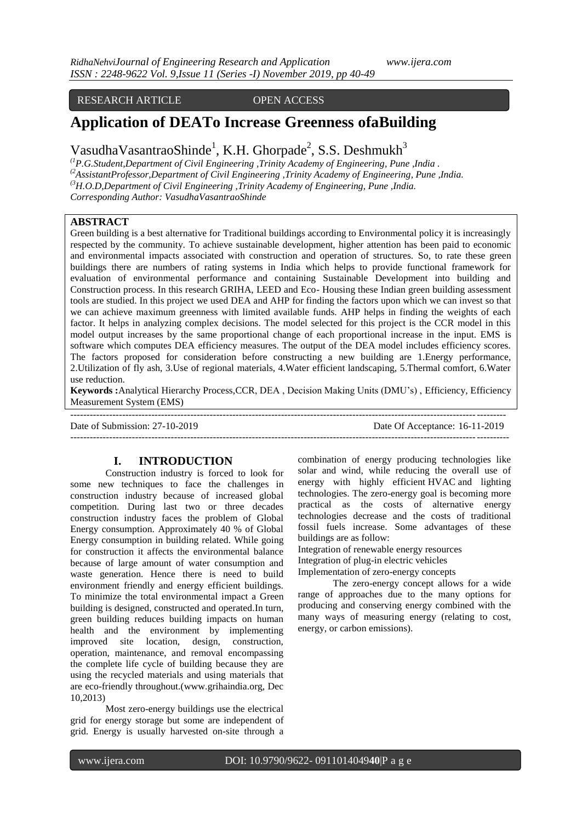### RESEARCH ARTICLE OPEN ACCESS

# **Application of DEATo Increase Greenness ofaBuilding**

# VasudhaVasantraoShinde<sup>1</sup>, K.H. Ghorpade<sup>2</sup>, S.S. Deshmukh<sup>3</sup>

*(1P.G.Student,Department of Civil Engineering ,Trinity Academy of Engineering, Pune ,India . (2AssistantProfessor,Department of Civil Engineering ,Trinity Academy of Engineering, Pune ,India. (3H.O.D,Department of Civil Engineering ,Trinity Academy of Engineering, Pune ,India. Corresponding Author: VasudhaVasantraoShinde*

# **ABSTRACT**

Green building is a best alternative for Traditional buildings according to Environmental policy it is increasingly respected by the community. To achieve sustainable development, higher attention has been paid to economic and environmental impacts associated with construction and operation of structures. So, to rate these green buildings there are numbers of rating systems in India which helps to provide functional framework for evaluation of environmental performance and containing Sustainable Development into building and Construction process. In this research GRIHA, LEED and Eco- Housing these Indian green building assessment tools are studied. In this project we used DEA and AHP for finding the factors upon which we can invest so that we can achieve maximum greenness with limited available funds. AHP helps in finding the weights of each factor. It helps in analyzing complex decisions. The model selected for this project is the CCR model in this model output increases by the same proportional change of each proportional increase in the input. EMS is software which computes DEA efficiency measures. The output of the DEA model includes efficiency scores. The factors proposed for consideration before constructing a new building are 1.Energy performance, 2.Utilization of fly ash, 3.Use of regional materials, 4.Water efficient landscaping, 5.Thermal comfort, 6.Water use reduction.

**Keywords :**Analytical Hierarchy Process,CCR, DEA , Decision Making Units (DMU's) , Efficiency, Efficiency Measurement System (EMS)

-------------------------------------------------------------------------------------------------------------------------------------- Date of Submission: 27-10-2019 Date Of Acceptance: 16-11-2019 ---------------------------------------------------------------------------------------------------------------------------------------

# **I. INTRODUCTION**

Construction industry is forced to look for some new techniques to face the challenges in construction industry because of increased global competition. During last two or three decades construction industry faces the problem of Global Energy consumption. Approximately 40 % of Global Energy consumption in building related. While going for construction it affects the environmental balance because of large amount of water consumption and waste generation. Hence there is need to build environment friendly and energy efficient buildings. To minimize the total environmental impact a Green building is designed, constructed and operated.In turn, green building reduces building impacts on human health and the environment by implementing improved site location, design, construction, operation, maintenance, and removal encompassing the complete life cycle of building because they are using the recycled materials and using materials that are eco-friendly throughout.(www.grihaindia.org, Dec 10,2013)

Most zero-energy buildings use the electrical grid for energy storage but some are independent of grid. Energy is usually harvested on-site through a combination of energy producing technologies like solar and wind, while reducing the overall use of energy with highly efficient [HVAC](http://en.wikipedia.org/wiki/HVAC) and lighting technologies. The zero-energy goal is becoming more practical as the costs of alternative energy technologies decrease and the costs of traditional fossil fuels increase. Some advantages of these buildings are as follow:

Integration of renewable energy resources Integration of plug-in electric vehicles

Implementation of zero-energy concepts

The zero-energy concept allows for a wide range of approaches due to the many options for producing and conserving energy combined with the many ways of measuring energy (relating to cost, energy, or carbon emissions).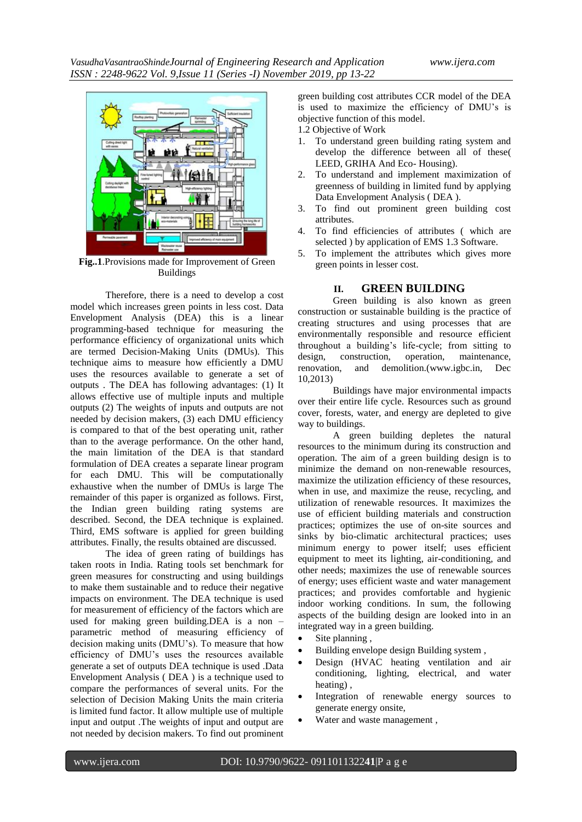

**Fig..1**.Provisions made for Improvement of Green Buildings

Therefore, there is a need to develop a cost model which increases green points in less cost. Data Envelopment Analysis (DEA) this is a linear programming-based technique for measuring the performance efficiency of organizational units which are termed Decision-Making Units (DMUs). This technique aims to measure how efficiently a DMU uses the resources available to generate a set of outputs . The DEA has following advantages: (1) It allows effective use of multiple inputs and multiple outputs (2) The weights of inputs and outputs are not needed by decision makers, (3) each DMU efficiency is compared to that of the best operating unit, rather than to the average performance. On the other hand, the main limitation of the DEA is that standard formulation of DEA creates a separate linear program for each DMU. This will be computationally exhaustive when the number of DMUs is large The remainder of this paper is organized as follows. First, the Indian green building rating systems are described. Second, the DEA technique is explained. Third, EMS software is applied for green building attributes. Finally, the results obtained are discussed.

The idea of green rating of buildings has taken roots in India. Rating tools set benchmark for green measures for constructing and using buildings to make them sustainable and to reduce their negative impacts on environment. The DEA technique is used for measurement of efficiency of the factors which are used for making green building.DEA is a non – parametric method of measuring efficiency of decision making units (DMU's). To measure that how efficiency of DMU's uses the resources available generate a set of outputs DEA technique is used .Data Envelopment Analysis ( DEA ) is a technique used to compare the performances of several units. For the selection of Decision Making Units the main criteria is limited fund factor. It allow multiple use of multiple input and output .The weights of input and output are not needed by decision makers. To find out prominent

green building cost attributes CCR model of the DEA is used to maximize the efficiency of DMU's is objective function of this model.

1.2 Objective of Work

- 1. To understand green building rating system and develop the difference between all of these( LEED, GRIHA And Eco- Housing).
- 2. To understand and implement maximization of greenness of building in limited fund by applying Data Envelopment Analysis ( DEA ).
- 3. To find out prominent green building cost attributes.
- 4. To find efficiencies of attributes ( which are selected ) by application of EMS 1.3 Software.
- 5. To implement the attributes which gives more green points in lesser cost.

# **II. GREEN BUILDING**

Green building is also known as green construction or sustainable building is the practice of creating structures and using processes that are environmentally responsible and resource efficient throughout a building's life-cycle; from sitting to design, construction, operation, maintenance, renovation, and demolition.(www.igbc.in, Dec 10,2013)

Buildings have major environmental impacts over their entire life cycle. Resources such as ground cover, forests, water, and energy are depleted to give way to buildings.

A green building depletes the natural resources to the minimum during its construction and operation. The aim of a green building design is to minimize the demand on non-renewable resources, maximize the utilization efficiency of these resources, when in use, and maximize the reuse, recycling, and utilization of renewable resources. It maximizes the use of efficient building materials and construction practices; optimizes the use of on-site sources and sinks by bio-climatic architectural practices; uses minimum energy to power itself; uses efficient equipment to meet its lighting, air-conditioning, and other needs; maximizes the use of renewable sources of energy; uses efficient waste and water management practices; and provides comfortable and hygienic indoor working conditions. In sum, the following aspects of the building design are looked into in an integrated way in a green building.

- Site planning ,
- Building envelope design Building system ,
- Design (HVAC heating ventilation and air conditioning, lighting, electrical, and water heating) ,
- Integration of renewable energy sources to generate energy onsite,
- Water and waste management ,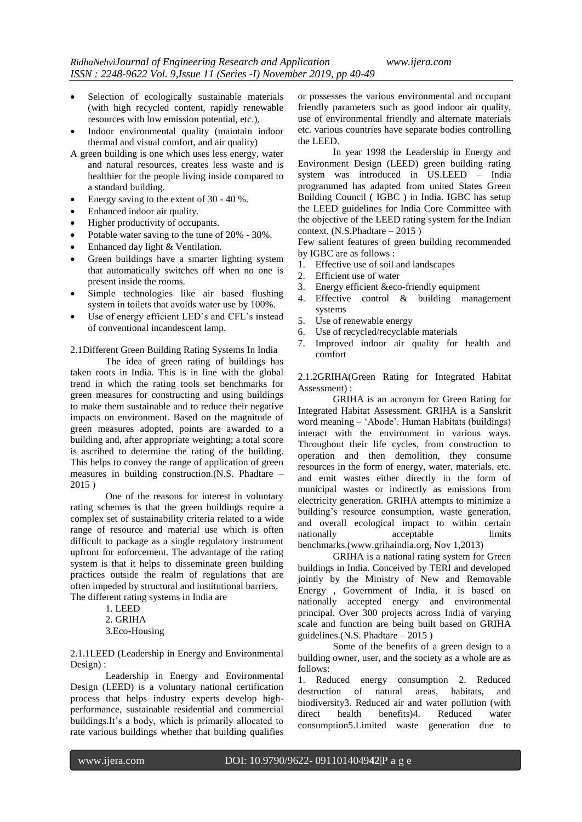- Selection of ecologically sustainable materials (with high recycled content, rapidly renewable resources with low emission potential, etc.),
- Indoor environmental quality (maintain indoor thermal and visual comfort, and air quality)
- A green building is one which uses less energy, water and natural resources, creates less waste and is healthier for the people living inside compared to a standard building.
- Energy saving to the extent of 30 40 %.
- Enhanced indoor air quality.
- Higher productivity of occupants.
- Potable water saving to the tune of 20% 30%.
- Enhanced day light & Ventilation.
- Green buildings have a smarter lighting system that automatically switches off when no one is present inside the rooms.
- Simple technologies like air based flushing system in toilets that avoids water use by 100%.
- Use of energy efficient LED's and CFL's instead of conventional incandescent lamp.

2.1Different Green Building Rating Systems In India

The idea of green rating of buildings has taken roots in India. This is in line with the global trend in which the rating tools set benchmarks for green measures for constructing and using buildings to make them sustainable and to reduce their negative impacts on environment. Based on the magnitude of green measures adopted, points are awarded to a building and, after appropriate weighting; a total score is ascribed to determine the rating of the building. This helps to convey the range of application of green measures in building construction.(N.S. Phadtare – 2015 )

One of the reasons for interest in voluntary rating schemes is that the green buildings require a complex set of sustainability criteria related to a wide range of resource and material use which is often difficult to package as a single regulatory instrument upfront for enforcement. The advantage of the rating system is that it helps to disseminate green building practices outside the realm of regulations that are often impeded by structural and institutional barriers.

The different rating systems in India are

- 1. LEED
- 2. GRIHA
- 3.Eco-Housing

2.1.1LEED (Leadership in Energy and Environmental Design) :

Leadership in Energy and Environmental Design (LEED) is a voluntary national certification process that helps industry experts develop highperformance, sustainable residential and commercial buildings.It's a body, which is primarily allocated to rate various buildings whether that building qualifies or possesses the various environmental and occupant friendly parameters such as good indoor air quality, use of environmental friendly and alternate materials etc. various countries have separate bodies controlling the LEED.

In year 1998 the Leadership in Energy and Environment Design (LEED) green building rating system was introduced in US.LEED – India programmed has adapted from united States Green Building Council ( IGBC ) in India. IGBC has setup the LEED guidelines for India Core Committee with the objective of the LEED rating system for the Indian context. (N.S.Phadtare – 2015 )

Few salient features of green building recommended by IGBC are as follows :

- 1. Effective use of soil and landscapes
- 2. Efficient use of water
- 3. Energy efficient &eco-friendly equipment
- 4. Effective control & building management systems
- 5. Use of renewable energy
- 6. Use of recycled/recyclable materials
- 7. Improved indoor air quality for health and comfort

2.1.2GRIHA(Green Rating for Integrated Habitat Assessment) :

GRIHA is an acronym for Green Rating for Integrated Habitat Assessment. GRIHA is a Sanskrit word meaning – ‗Abode'. Human Habitats (buildings) interact with the environment in various ways. Throughout their life cycles, from construction to operation and then demolition, they consume resources in the form of energy, water, materials, etc. and emit wastes either directly in the form of municipal wastes or indirectly as emissions from electricity generation. GRIHA attempts to minimize a building's resource consumption, waste generation, and overall ecological impact to within certain nationally acceptable limits benchmarks.(www.grihaindia.org, Nov 1,2013)

GRIHA is a national rating system for Green buildings in India. Conceived by TERI and developed jointly by the Ministry of New and Removable Energy , Government of India, it is based on nationally accepted energy and environmental principal. Over 300 projects across India of varying scale and function are being built based on GRIHA guidelines.(N.S. Phadtare – 2015 )

Some of the benefits of a green design to a building owner, user, and the society as a whole are as follows:

1. Reduced energy consumption 2. Reduced destruction of natural areas, habitats, and biodiversity3. Reduced air and water pollution (with direct health benefits)4. Reduced water consumption5.Limited waste generation due to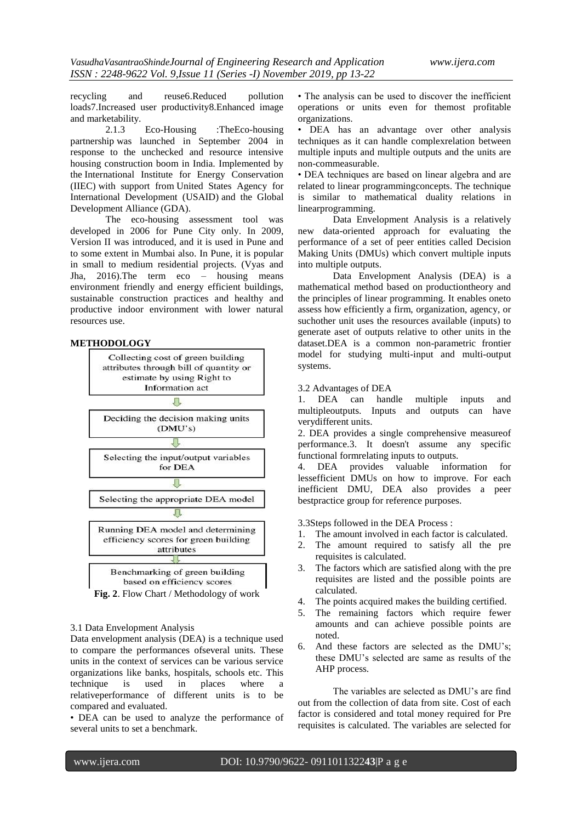recycling and reuse6.Reduced pollution loads7.Increased user productivity8.Enhanced image and marketability.

2.1.3 Eco-Housing :TheEco-housing partnership was launched in September 2004 in response to the unchecked and resource intensive housing construction boom in India. Implemented by the [International Institute for Energy Conservation](http://www.iiec.org/)  [\(IIEC\)](http://www.iiec.org/) with support from [United States Agency for](http://www.usaid.gov/in/)  [International Development \(USAID\)](http://www.usaid.gov/in/) and the Global Development Alliance (GDA).

The eco-housing assessment tool was developed in 2006 for Pune City only. In 2009, Version II was introduced, and it is used in Pune and to some extent in Mumbai also. In Pune, it is popular in small to medium residential projects. (Vyas and Jha, 2016).The term eco – housing means environment friendly and energy efficient buildings, sustainable construction practices and healthy and productive indoor environment with lower natural resources use.

#### **METHODOLOGY**



**Fig. 2**. Flow Chart / Methodology of work

#### 3.1 Data Envelopment Analysis

Data envelopment analysis (DEA) is a technique used to compare the performances ofseveral units. These units in the context of services can be various service organizations like banks, hospitals, schools etc. This technique is used in places where a relativeperformance of different units is to be compared and evaluated.

• DEA can be used to analyze the performance of several units to set a benchmark.

• The analysis can be used to discover the inefficient operations or units even for themost profitable organizations.

• DEA has an advantage over other analysis techniques as it can handle complexrelation between multiple inputs and multiple outputs and the units are non-commeasurable.

• DEA techniques are based on linear algebra and are related to linear programmingconcepts. The technique is similar to mathematical duality relations in linearprogramming.

Data Envelopment Analysis is a relatively new data-oriented approach for evaluating the performance of a set of peer entities called Decision Making Units (DMUs) which convert multiple inputs into multiple outputs.

Data Envelopment Analysis (DEA) is a mathematical method based on productiontheory and the principles of linear programming. It enables oneto assess how efficiently a firm, organization, agency, or suchother unit uses the resources available (inputs) to generate aset of outputs relative to other units in the dataset.DEA is a common non-parametric frontier model for studying multi-input and multi-output systems.

#### 3.2 Advantages of DEA

1. DEA can handle multiple inputs and multipleoutputs. Inputs and outputs can have verydifferent units.

2. DEA provides a single comprehensive measureof performance.3. It doesn't assume any specific functional formrelating inputs to outputs.

4. DEA provides valuable information for lessefficient DMUs on how to improve. For each inefficient DMU, DEA also provides a peer bestpractice group for reference purposes.

3.3Steps followed in the DEA Process :

- 1. The amount involved in each factor is calculated.
- 2. The amount required to satisfy all the pre requisites is calculated.
- 3. The factors which are satisfied along with the pre requisites are listed and the possible points are calculated.
- 4. The points acquired makes the building certified.
- 5. The remaining factors which require fewer amounts and can achieve possible points are noted.
- 6. And these factors are selected as the DMU's; these DMU's selected are same as results of the AHP process.

The variables are selected as DMU's are find out from the collection of data from site. Cost of each factor is considered and total money required for Pre requisites is calculated. The variables are selected for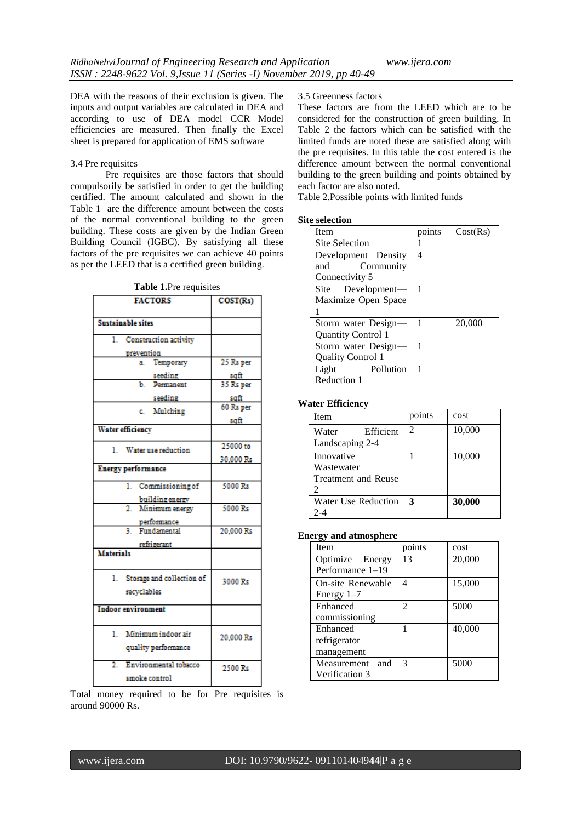DEA with the reasons of their exclusion is given. The inputs and output variables are calculated in DEA and according to use of DEA model CCR Model efficiencies are measured. Then finally the Excel sheet is prepared for application of EMS software

### 3.4 Pre requisites

Pre requisites are those factors that should compulsorily be satisfied in order to get the building certified. The amount calculated and shown in the Table 1 are the difference amount between the costs of the normal conventional building to the green building. These costs are given by the Indian Green Building Council (IGBC). By satisfying all these factors of the pre requisites we can achieve 40 points as per the LEED that is a certified green building.

| <b>FACTORS</b>                              | COST(Rs)  |  |  |  |
|---------------------------------------------|-----------|--|--|--|
| <b>Sustainable sites</b>                    |           |  |  |  |
| Construction activity                       |           |  |  |  |
| prevention                                  |           |  |  |  |
| Temporary<br>a.                             | 25 Rs per |  |  |  |
| seeding<br>Permanent                        | sqft      |  |  |  |
| ħ                                           | 35 Rs per |  |  |  |
| seeding                                     | saft      |  |  |  |
| c. Mulching                                 | 60 Rs per |  |  |  |
|                                             | sqft      |  |  |  |
| Water efficiency                            |           |  |  |  |
| 1. Water use reduction                      | 25000 to  |  |  |  |
|                                             | 30,000 Rs |  |  |  |
| <b>Energy performance</b>                   |           |  |  |  |
| ī.<br>Commissioning of                      | 5000 Rs   |  |  |  |
| building energy                             |           |  |  |  |
| T<br>Minimum energy                         | 5000 Rs   |  |  |  |
| performance<br>2<br>Fundamental             |           |  |  |  |
|                                             | 20,000 Rs |  |  |  |
| refrigerant                                 |           |  |  |  |
| <b>Materials</b>                            |           |  |  |  |
| 1. Storage and collection of<br>recyclables | 3000 Rs   |  |  |  |
|                                             |           |  |  |  |
| <b>Indoor environment</b>                   |           |  |  |  |
| Minimum indoor air<br>ı.                    | 20,000 Rs |  |  |  |
| quality performance                         |           |  |  |  |
| Environmental tobacco<br>2.                 | 2500 Rs   |  |  |  |
| smoke control                               |           |  |  |  |
|                                             |           |  |  |  |

**Table 1.**Pre requisites

### Total money required to be for Pre requisites is around 90000 Rs.

#### 3.5 Greenness factors

These factors are from the LEED which are to be considered for the construction of green building. In Table 2 the factors which can be satisfied with the limited funds are noted these are satisfied along with the pre requisites. In this table the cost entered is the difference amount between the normal conventional building to the green building and points obtained by each factor are also noted.

Table 2.Possible points with limited funds

## **Site selection**

| Item                      | points | Cost(Rs) |
|---------------------------|--------|----------|
| <b>Site Selection</b>     |        |          |
| Development Density       | 4      |          |
| and<br>Community          |        |          |
| Connectivity 5            |        |          |
| Site Development-         | 1      |          |
| Maximize Open Space       |        |          |
|                           |        |          |
| Storm water Design-       |        | 20,000   |
| <b>Quantity Control 1</b> |        |          |
| Storm water Design-       |        |          |
| <b>Quality Control 1</b>  |        |          |
| Pollution<br>Light        |        |          |
| Reduction 1               |        |          |

# **Water Efficiency**

| Item                                  | points | cost   |
|---------------------------------------|--------|--------|
| Efficient<br>Water<br>Landscaping 2-4 | 2      | 10,000 |
| Innovative                            |        | 10,000 |
| Wastewater                            |        |        |
| Treatment and Reuse                   |        |        |
| 2                                     |        |        |
| Water Use Reduction                   | 3      | 30,000 |
| 2-4                                   |        |        |

#### **Energy and atmosphere**

| Item                                   | points         | cost   |
|----------------------------------------|----------------|--------|
| Optimize Energy<br>Performance 1-19    | 13             | 20,000 |
| On-site Renewable<br>Energy $1-7$      | 4              | 15,000 |
| Enhanced<br>commissioning              | $\mathfrak{D}$ | 5000   |
| Enhanced<br>refrigerator<br>management |                | 40,000 |
| Measurement<br>and<br>Verification 3   | 3              | 5000   |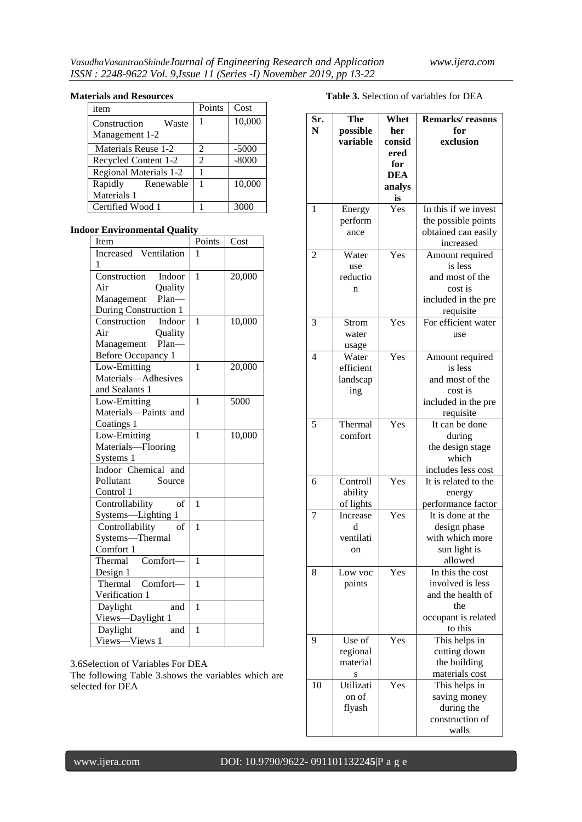#### **Materials and Resources**

| item                   | Points         | Cost    |
|------------------------|----------------|---------|
| Construction<br>Waste  |                | 10,000  |
| Management 1-2         |                |         |
| Materials Reuse 1-2    | $\mathfrak{D}$ | $-5000$ |
| Recycled Content 1-2   | $\mathfrak{D}$ | $-8000$ |
| Regional Materials 1-2 |                |         |
| Rapidly<br>Renewable   | 1              | 10,000  |
| Materials 1            |                |         |
| Certified Wood 1       |                |         |

# **Indoor Environmental Quality**

| Item                      | Points         | Cost   |
|---------------------------|----------------|--------|
| Increased Ventilation     | 1              |        |
| 1                         |                |        |
| Construction<br>Indoor    | 1              | 20,000 |
| Air<br>Quality            |                |        |
| Plan-<br>Management       |                |        |
| During Construction 1     |                |        |
| Indoor<br>Construction    | 1              | 10,000 |
| Air<br>Quality            |                |        |
| Management<br>$Plan$ —    |                |        |
| <b>Before Occupancy 1</b> |                |        |
| Low-Emitting              | 1              | 20,000 |
| Materials-Adhesives       |                |        |
| and Sealants 1            |                |        |
| Low-Emitting              | 1              | 5000   |
| Materials-Paints and      |                |        |
| Coatings 1                |                |        |
| Low-Emitting              | 1              | 10,000 |
| Materials-Flooring        |                |        |
| Systems 1                 |                |        |
| Indoor Chemical and       |                |        |
| Pollutant<br>Source       |                |        |
| Control 1                 |                |        |
| Controllability<br>of     | 1              |        |
| Systems-Lighting 1        |                |        |
| Controllability<br>of     | 1              |        |
| Systems-Thermal           |                |        |
| Comfort 1                 |                |        |
| Comfort-<br>Thermal       | 1              |        |
| Design 1                  |                |        |
| Comfort-<br>Thermal       | $\mathbf{1}$   |        |
| Verification 1            |                |        |
| and<br>Daylight           | $\overline{1}$ |        |
| Views-Daylight 1          |                |        |
| Daylight<br>and           | 1              |        |
| Views-Views 1             |                |        |

3.6Selection of Variables For DEA The following Table 3.shows the variables which are

selected for DEA

# **Table 3.** Selection of variables for DEA

| Sr. | The           | Whet                 | <b>Remarks/reasons</b>             |
|-----|---------------|----------------------|------------------------------------|
| N   | possible      | her                  | for                                |
|     | variable      | consid               | exclusion                          |
|     |               | ered                 |                                    |
|     |               | for<br><b>DEA</b>    |                                    |
|     |               | analys               |                                    |
|     |               | is                   |                                    |
| 1   | Energy        | $\mathrm{\bar{Y}es}$ | $\overline{\ln}$ this if we invest |
|     | perform       |                      | the possible points                |
|     | ance          |                      | obtained can easily                |
|     |               |                      | increased                          |
| 2   | Water         | Yes                  | Amount required                    |
|     | use           |                      | is less                            |
|     | reductio      |                      | and most of the<br>cost is         |
|     | n             |                      | included in the pre                |
|     |               |                      | requisite                          |
| 3   | Strom         | Yes                  | For efficient water                |
|     | water         |                      | use                                |
|     | usage         |                      |                                    |
| 4   | Water         | Yes                  | Amount required                    |
|     | efficient     |                      | is less                            |
|     | landscap      |                      | and most of the                    |
|     | ing           |                      | cost is                            |
|     |               |                      | included in the pre                |
| 5   | Thermal       | Yes                  | requisite<br>It can be done        |
|     | comfort       |                      | during                             |
|     |               |                      | the design stage                   |
|     |               |                      | which                              |
|     |               |                      | includes less cost                 |
| 6   | Controll      | Yes                  | It is related to the               |
|     | ability       |                      | energy                             |
|     | of lights     |                      | performance factor                 |
| 7   | Increase<br>d | Yes                  | It is done at the                  |
|     | ventilati     |                      | design phase<br>with which more    |
|     | on            |                      | sun light is                       |
|     |               |                      | allowed                            |
| 8   | Low voc       | Yes                  | In this the cost                   |
|     | paints        |                      | involved is less                   |
|     |               |                      | and the health of                  |
|     |               |                      | the                                |
|     |               |                      | occupant is related                |
| 9   | Use of        | Yes                  | to this                            |
|     | regional      |                      | This helps in<br>cutting down      |
|     | material      |                      | the building                       |
|     | S             |                      | materials cost                     |
| 10  | Utilizati     | Yes                  | This helps in                      |
|     | on of         |                      | saving money                       |
|     | flyash        |                      | during the                         |
|     |               |                      | construction of                    |
|     |               |                      | walls                              |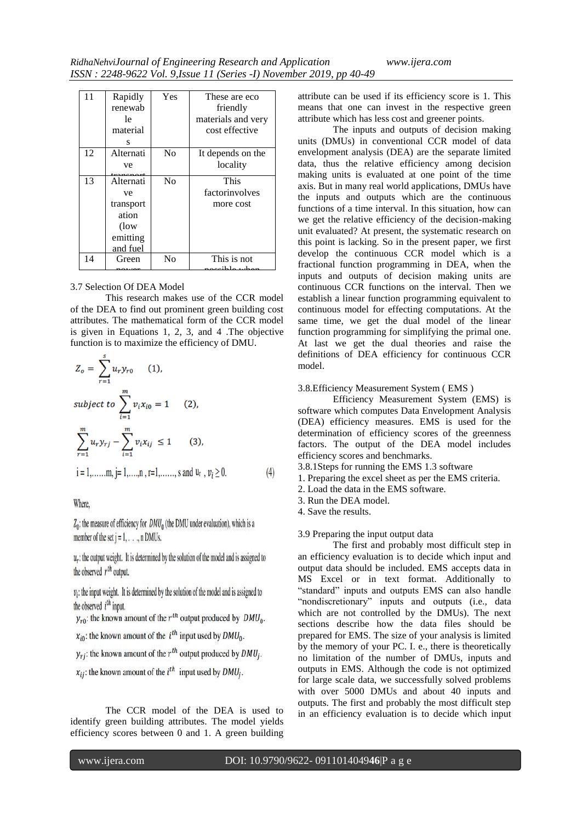| 11 | Rapidly   | Yes            | These are eco      |
|----|-----------|----------------|--------------------|
|    | renewab   |                | friendly           |
|    | 1e        |                | materials and very |
|    | material  |                | cost effective     |
|    | S         |                |                    |
| 12 | Alternati | N <sub>0</sub> | It depends on the  |
|    | ve        |                | locality           |
| 13 | Alternati | No             | This               |
|    | ve        |                | factorinvolves     |
|    | transport |                | more cost          |
|    | ation     |                |                    |
|    | (low)     |                |                    |
|    | emitting  |                |                    |
|    | and fuel  |                |                    |
| 14 | Green     | No             | This is not        |
|    |           |                |                    |

# ) 3.7 Selection Of DEA Model

This research makes use of the CCR model of the DEA to find out prominent green building cost attributes. The mathematical form of the CCR model is given in Equations 1, 2, 3, and 4 .The objective function is to maximize the efficiency of DMU.

$$
Z_{o} = \sum_{r=1}^{s} u_{r} y_{r0} \qquad (1),
$$
  
subject to 
$$
\sum_{i=1}^{m} v_{i} x_{i0} = 1 \qquad (2),
$$

$$
\sum_{r=1}^{m} u_{r} y_{rj} - \sum_{i=1}^{m} v_{i} x_{ij} \le 1 \qquad (3),
$$

$$
i = 1, \dots, m, j = 1, \dots, n, r = 1, \dots, s \text{ and } u_{r}, v_{i} \ge 0. \qquad (4)
$$

Where.

 $Z_0$ : the measure of efficiency for  $DMU_0$  (the DMU under evaluation), which is a member of the set  $j = 1, \ldots, n$  DMUs.

 $u_r$ : the output weight. It is determined by the solution of the model and is assigned to the observed  $r^{th}$  output.

 $v_i$ : the input weight. It is determined by the solution of the model and is assigned to the observed  $i^{th}$  input.

 $y_{r0}$ : the known amount of the  $r^{th}$  output produced by  $DMU_0$ .

 $x_{i0}$ : the known amount of the  $i^{th}$  input used by  $DMU_0$ .

 $y_{ri}$ : the known amount of the  $r^{th}$  output produced by  $DMU_i$ .

 $x_{ij}$ : the known amount of the  $i^{th}$  input used by  $DMU_i$ .

The CCR model of the DEA is used to identify green building attributes. The model yields efficiency scores between 0 and 1. A green building

attribute can be used if its efficiency score is 1. This means that one can invest in the respective green attribute which has less cost and greener points.

The inputs and outputs of decision making units (DMUs) in conventional CCR model of data envelopment analysis (DEA) are the separate limited data, thus the relative efficiency among decision making units is evaluated at one point of the time axis. But in many real world applications, DMUs have the inputs and outputs which are the continuous functions of a time interval. In this situation, how can we get the relative efficiency of the decision-making unit evaluated? At present, the systematic research on this point is lacking. So in the present paper, we first develop the continuous CCR model which is a fractional function programming in DEA, when the inputs and outputs of decision making units are continuous CCR functions on the interval. Then we establish a linear function programming equivalent to continuous model for effecting computations. At the same time, we get the dual model of the linear function programming for simplifying the primal one. At last we get the dual theories and raise the definitions of DEA efficiency for continuous CCR model.

3.8.Efficiency Measurement System ( EMS )

Efficiency Measurement System (EMS) is software which computes Data Envelopment Analysis (DEA) efficiency measures. EMS is used for the determination of efficiency scores of the greenness factors. The output of the DEA model includes efficiency scores and benchmarks.

3.8.1Steps for running the EMS 1.3 software

- 1. Preparing the excel sheet as per the EMS criteria.
- 2. Load the data in the EMS software.

3. Run the DEA model.

4. Save the results.

3.9 Preparing the input output data

The first and probably most difficult step in an efficiency evaluation is to decide which input and output data should be included. EMS accepts data in MS Excel or in text format. Additionally to "standard" inputs and outputs EMS can also handle "nondiscretionary" inputs and outputs (i.e., data which are not controlled by the DMUs). The next sections describe how the data files should be prepared for EMS. The size of your analysis is limited by the memory of your PC. I. e., there is theoretically no limitation of the number of DMUs, inputs and outputs in EMS. Although the code is not optimized for large scale data, we successfully solved problems with over 5000 DMUs and about 40 inputs and outputs. The first and probably the most difficult step in an efficiency evaluation is to decide which input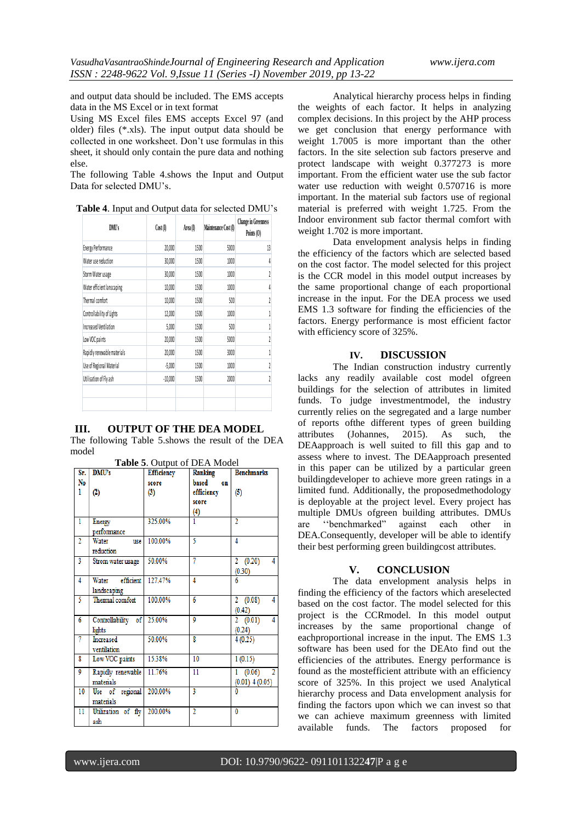and output data should be included. The EMS accepts data in the MS Excel or in text format

Using MS Excel files EMS accepts Excel 97 (and older) files (\*.xls). The input output data should be collected in one worksheet. Don't use formulas in this sheet, it should only contain the pure data and nothing else.

The following Table 4.shows the Input and Output Data for selected DMU's.

| DM's                         | Cost (I)  | Area (I) | Maintenance Cost (I) | <b>Change in Greenness</b><br>Points (O) |
|------------------------------|-----------|----------|----------------------|------------------------------------------|
| <b>Energy Performance</b>    | 20,000    | 1500     | 5000                 | 13                                       |
| Water use reduction          | 30,000    | 1500     | 1000                 | 4                                        |
| Storm Water usage            | 30,000    | 1500     | 1000                 |                                          |
| Water efficient lanscaping   | 10,000    | 1500     | 1000                 | 4                                        |
| Thermal comfort              | 10,000    | 1500     | 500                  | 2                                        |
| Controllability of Lights    | 12,000    | 1500     | 1000                 |                                          |
| <b>Increased Ventilation</b> | 5,000     | 1500     | 500                  |                                          |
| Low VOC paints               | 20,000    | 1500     | 5000                 | 2                                        |
| Rapidly renewable materials  | 20,000    | 1500     | 3000                 |                                          |
| Use of Regional Material     | $-5,000$  | 1500     | 1000                 | 2                                        |
| Utilisation of Fly ash       | $-10,000$ | 1500     | 2000                 | 2                                        |
|                              |           |          |                      |                                          |

**Table 4**. Input and Output data for selected DMU's

#### **III. OUTPUT OF THE DEA MODEL**

The following Table 5.shows the result of the DEA model **Table 5**. Output of DEA Model

| Sr.            | DMU's              | <b>Efficiency</b> | Ranking        | <b>Benchmarks</b>             |
|----------------|--------------------|-------------------|----------------|-------------------------------|
| No             |                    | score             | based<br>on    |                               |
| ı              | $^{(2)}$           | (3)               | efficiency     | (5)                           |
|                |                    |                   | score          |                               |
|                |                    |                   | (4)            |                               |
| 1              | Energy             | 325.00%           | 1              | $\overline{2}$                |
|                | performance        |                   |                |                               |
| $\overline{2}$ | Water<br>use       | 100.00%           | 5              | 4                             |
|                | reduction          |                   |                |                               |
| 3              | Strom water usage  | 50.00%            | 7              | (0.20)<br>$\overline{2}$<br>4 |
|                |                    |                   |                | (0.30)                        |
| 4              | efficient<br>Water | 127.47%           | 4              | 6                             |
|                | landscaping        |                   |                |                               |
| 5              | Thermal comfort    | 100.00%           | 6              | (0.08)<br>$\overline{2}$<br>4 |
|                |                    |                   |                | (0.42)                        |
| 6              | Controllability of | 25.00%            | 9              | 2(0.01)<br>4                  |
|                | lights             |                   |                | (0.24)                        |
| 7              | Increased          | 50.00%            | g              | 4(0.25)                       |
|                | ventilation        |                   |                |                               |
| 8              | Low VOC paints     | 15.38%            | 10             | 1(0.15)                       |
| 9              | Rapidly renewable  | 11.76%            | 11             | $\overline{2}$<br>1 (0.06)    |
|                | materials          |                   |                | $(0.01)$ 4 $(0.05)$           |
| 10             | Use of regional    | 200.00%           | 3              |                               |
|                | materials          |                   |                |                               |
| 11             | Utilization of fly | 200.00%           | $\overline{2}$ | 0                             |
|                | ash                |                   |                |                               |

Analytical hierarchy process helps in finding the weights of each factor. It helps in analyzing complex decisions. In this project by the AHP process we get conclusion that energy performance with weight 1.7005 is more important than the other factors. In the site selection sub factors preserve and protect landscape with weight 0.377273 is more important. From the efficient water use the sub factor water use reduction with weight 0.570716 is more important. In the material sub factors use of regional material is preferred with weight 1.725. From the Indoor environment sub factor thermal comfort with weight 1.702 is more important.

Data envelopment analysis helps in finding the efficiency of the factors which are selected based on the cost factor. The model selected for this project is the CCR model in this model output increases by the same proportional change of each proportional increase in the input. For the DEA process we used EMS 1.3 software for finding the efficiencies of the factors. Energy performance is most efficient factor with efficiency score of 325%.

#### **IV. DISCUSSION**

The Indian construction industry currently lacks any readily available cost model ofgreen buildings for the selection of attributes in limited funds. To judge investmentmodel, the industry currently relies on the segregated and a large number of reports ofthe different types of green building attributes (Johannes, 2015). As such, the DEAapproach is well suited to fill this gap and to assess where to invest. The DEAapproach presented in this paper can be utilized by a particular green buildingdeveloper to achieve more green ratings in a limited fund. Additionally, the proposedmethodology is deployable at the project level. Every project has multiple DMUs ofgreen building attributes. DMUs are "benchmarked" against each other in DEA.Consequently, developer will be able to identify their best performing green buildingcost attributes.

#### **V. CONCLUSION**

The data envelopment analysis helps in finding the efficiency of the factors which areselected based on the cost factor. The model selected for this project is the CCRmodel. In this model output increases by the same proportional change of eachproportional increase in the input. The EMS 1.3 software has been used for the DEAto find out the efficiencies of the attributes. Energy performance is found as the mostefficient attribute with an efficiency score of 325%. In this project we used Analytical hierarchy process and Data envelopment analysis for finding the factors upon which we can invest so that we can achieve maximum greenness with limited available funds. The factors proposed for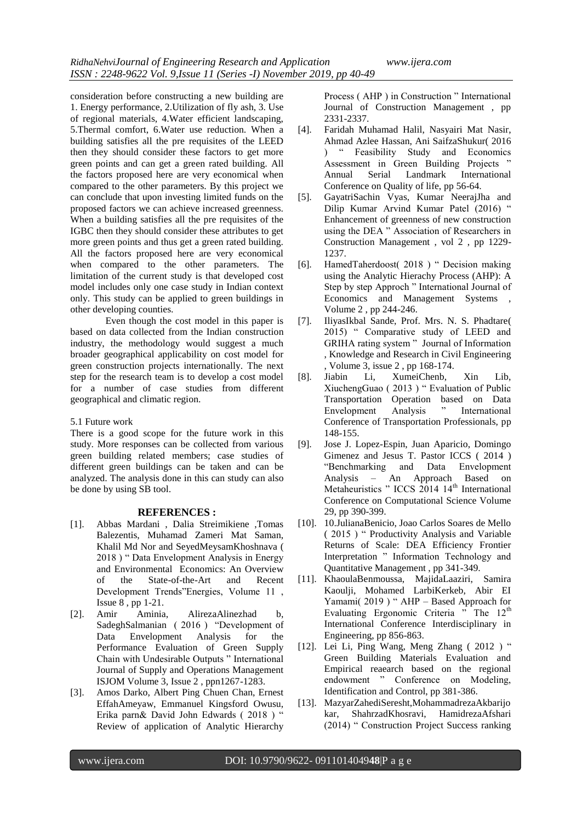consideration before constructing a new building are 1. Energy performance, 2.Utilization of fly ash, 3. Use of regional materials, 4.Water efficient landscaping, 5.Thermal comfort, 6.Water use reduction. When a building satisfies all the pre requisites of the LEED then they should consider these factors to get more green points and can get a green rated building. All the factors proposed here are very economical when compared to the other parameters. By this project we can conclude that upon investing limited funds on the proposed factors we can achieve increased greenness. When a building satisfies all the pre requisites of the IGBC then they should consider these attributes to get more green points and thus get a green rated building. All the factors proposed here are very economical when compared to the other parameters. The limitation of the current study is that developed cost model includes only one case study in Indian context only. This study can be applied to green buildings in other developing counties.

Even though the cost model in this paper is based on data collected from the Indian construction industry, the methodology would suggest a much broader geographical applicability on cost model for green construction projects internationally. The next step for the research team is to develop a cost model for a number of case studies from different geographical and climatic region.

# 5.1 Future work

There is a good scope for the future work in this study. More responses can be collected from various green building related members; case studies of different green buildings can be taken and can be analyzed. The analysis done in this can study can also be done by using SB tool.

# **REFERENCES :**

- [1]. Abbas Mardani , Dalia Streimikiene ,Tomas Balezentis, Muhamad Zameri Mat Saman, Khalil Md Nor and SeyedMeysamKhoshnava ( 2018 ) " Data Envelopment Analysis in Energy and Environmental Economics: An Overview of the State-of-the-Art and Recent Development Trends"Energies, Volume 11, Issue 8 , pp 1-21.
- [2]. Amir Aminia, AlirezaAlinezhad b, SadeghSalmanian (2016) 
"Development of Data Envelopment Analysis for the Performance Evaluation of Green Supply Chain with Undesirable Outputs " International Journal of Supply and Operations Management ISJOM Volume 3, Issue 2 , ppn1267-1283.
- [3]. Amos Darko, Albert Ping Chuen Chan, Ernest EffahAmeyaw, Emmanuel Kingsford Owusu, Erika parn& David John Edwards (2018) " Review of application of Analytic Hierarchy

Process (AHP) in Construction " International Journal of Construction Management , pp 2331-2337.

- [4]. Faridah Muhamad Halil, Nasyairi Mat Nasir, Ahmad Azlee Hassan, Ani SaifzaShukur( 2016 ) ― Feasibility Study and Economics Assessment in Green Building Projects " Annual Serial Landmark International Conference on Quality of life, pp 56-64.
- [5]. GayatriSachin Vyas, Kumar NeerajJha and Dilip Kumar Arvind Kumar Patel (2016) " Enhancement of greenness of new construction using the DEA " Association of Researchers in Construction Management , vol 2 , pp 1229- 1237.
- [6]. HamedTaherdoost(2018) " Decision making using the Analytic Hierachy Process (AHP): A Step by step Approch "International Journal of Economics and Management Systems Volume 2 , pp 244-246.
- [7]. IliyasIkbal Sande, Prof. Mrs. N. S. Phadtare( 2015) " Comparative study of LEED and GRIHA rating system " Journal of Information , Knowledge and Research in Civil Engineering , Volume 3, issue 2 , pp 168-174.
- [8]. Jiabin Li, XumeiChenb, Xin Lib, XiuchengGuao (2013) " Evaluation of Public Transportation Operation based on Data Envelopment Analysis "International Conference of Transportation Professionals, pp 148-155.
- [9]. Jose J. Lopez-Espin, Juan Aparicio, Domingo Gimenez and Jesus T. Pastor ICCS ( 2014 ) ―Benchmarking and Data Envelopment Analysis – An Approach Based on Metaheuristics " ICCS 2014 14<sup>th</sup> International Conference on Computational Science Volume 29, pp 390-399.
- [10]. 10.JulianaBenicio, Joao Carlos Soares de Mello (2015) "Productivity Analysis and Variable Returns of Scale: DEA Efficiency Frontier Interpretation "Information Technology and Quantitative Management , pp 341-349.
- [11]. KhaoulaBenmoussa, MajidaLaaziri, Samira Kaoulji, Mohamed LarbiKerkeb, Abir EI Yamami( 2019 ) " AHP – Based Approach for Evaluating Ergonomic Criteria " The 12<sup>th</sup> International Conference Interdisciplinary in Engineering, pp 856-863.
- [12]. Lei Li, Ping Wang, Meng Zhang  $(2012)$  " Green Building Materials Evaluation and Empirical reaearch based on the regional endowment " Conference on Modeling, Identification and Control, pp 381-386.
- [13]. MazyarZahediSeresht,MohammadrezaAkbarijo kar, ShahrzadKhosravi, HamidrezaAfshari (2014) " Construction Project Success ranking